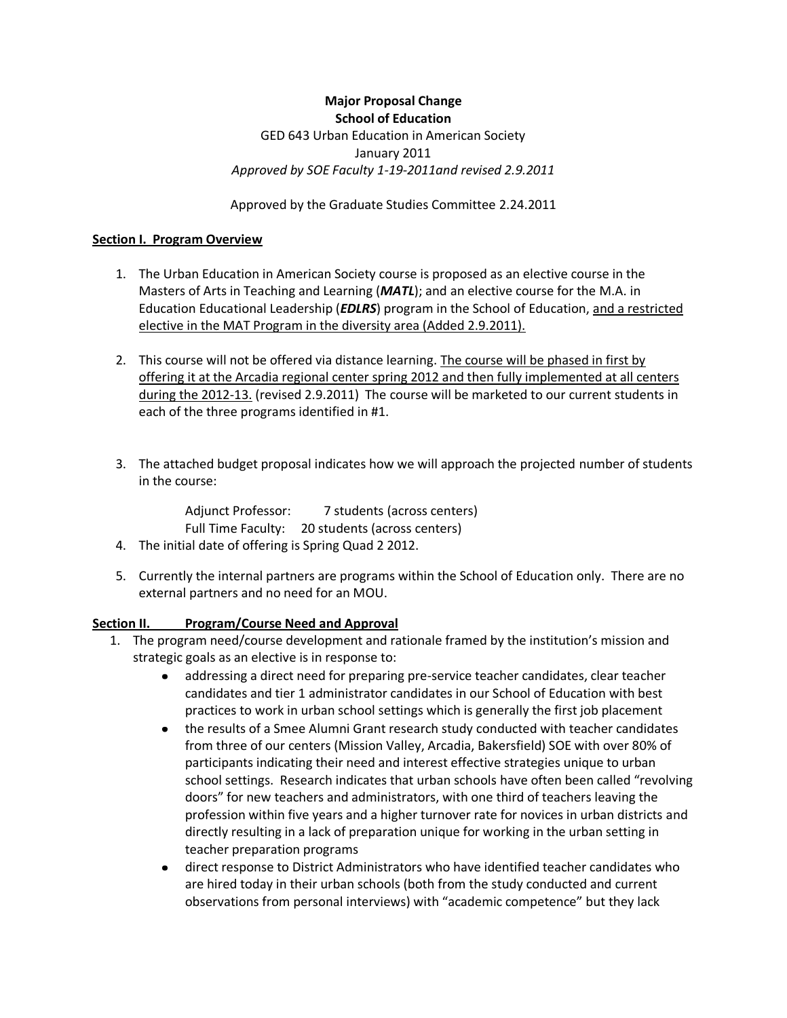## **Major Proposal Change School of Education** GED 643 Urban Education in American Society January 2011 *Approved by SOE Faculty 1-19-2011and revised 2.9.2011*

Approved by the Graduate Studies Committee 2.24.2011

### **Section I. Program Overview**

- 1. The Urban Education in American Society course is proposed as an elective course in the Masters of Arts in Teaching and Learning (*MATL*); and an elective course for the M.A. in Education Educational Leadership (*EDLRS*) program in the School of Education, and a restricted elective in the MAT Program in the diversity area (Added 2.9.2011).
- 2. This course will not be offered via distance learning. The course will be phased in first by offering it at the Arcadia regional center spring 2012 and then fully implemented at all centers during the 2012-13. (revised 2.9.2011) The course will be marketed to our current students in each of the three programs identified in #1.
- 3. The attached budget proposal indicates how we will approach the projected number of students in the course:

Adjunct Professor: 7 students (across centers) Full Time Faculty: 20 students (across centers)

- 4. The initial date of offering is Spring Quad 2 2012.
- 5. Currently the internal partners are programs within the School of Education only. There are no external partners and no need for an MOU.

### **Section II. Program/Course Need and Approval**

- 1. The program need/course development and rationale framed by the institution's mission and strategic goals as an elective is in response to:
	- addressing a direct need for preparing pre-service teacher candidates, clear teacher  $\bullet$ candidates and tier 1 administrator candidates in our School of Education with best practices to work in urban school settings which is generally the first job placement
	- the results of a Smee Alumni Grant research study conducted with teacher candidates from three of our centers (Mission Valley, Arcadia, Bakersfield) SOE with over 80% of participants indicating their need and interest effective strategies unique to urban school settings. Research indicates that urban schools have often been called "revolving doors" for new teachers and administrators, with one third of teachers leaving the profession within five years and a higher turnover rate for novices in urban districts and directly resulting in a lack of preparation unique for working in the urban setting in teacher preparation programs
	- $\bullet$ direct response to District Administrators who have identified teacher candidates who are hired today in their urban schools (both from the study conducted and current observations from personal interviews) with "academic competence" but they lack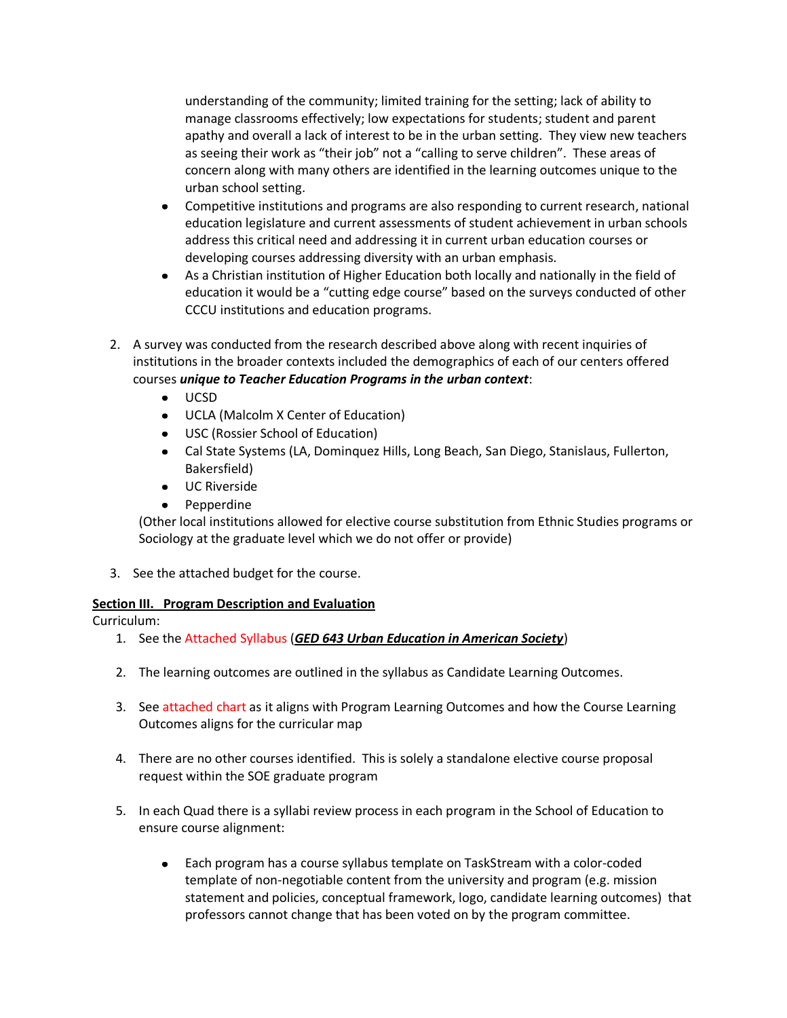understanding of the community; limited training for the setting; lack of ability to manage classrooms effectively; low expectations for students; student and parent apathy and overall a lack of interest to be in the urban setting. They view new teachers as seeing their work as "their job" not a "calling to serve children". These areas of concern along with many others are identified in the learning outcomes unique to the urban school setting.

- Competitive institutions and programs are also responding to current research, national  $\bullet$ education legislature and current assessments of student achievement in urban schools address this critical need and addressing it in current urban education courses or developing courses addressing diversity with an urban emphasis.
- As a Christian institution of Higher Education both locally and nationally in the field of  $\bullet$ education it would be a "cutting edge course" based on the surveys conducted of other CCCU institutions and education programs.
- 2. A survey was conducted from the research described above along with recent inquiries of institutions in the broader contexts included the demographics of each of our centers offered courses *unique to Teacher Education Programs in the urban context*:
	- UCSD  $\bullet$
	- UCLA (Malcolm X Center of Education)
	- USC (Rossier School of Education)
	- Cal State Systems (LA, Dominquez Hills, Long Beach, San Diego, Stanislaus, Fullerton, Bakersfield)
	- UC Riverside
	- Pepperdine

(Other local institutions allowed for elective course substitution from Ethnic Studies programs or Sociology at the graduate level which we do not offer or provide)

3. See the attached budget for the course.

## **Section III. Program Description and Evaluation**

Curriculum:

- 1. See the Attached Syllabus (*GED 643 Urban Education in American Society*)
- 2. The learning outcomes are outlined in the syllabus as Candidate Learning Outcomes.
- 3. See attached chart as it aligns with Program Learning Outcomes and how the Course Learning Outcomes aligns for the curricular map
- 4. There are no other courses identified. This is solely a standalone elective course proposal request within the SOE graduate program
- 5. In each Quad there is a syllabi review process in each program in the School of Education to ensure course alignment:
	- Each program has a course syllabus template on TaskStream with a color-coded  $\bullet$ template of non-negotiable content from the university and program (e.g. mission statement and policies, conceptual framework, logo, candidate learning outcomes) that professors cannot change that has been voted on by the program committee.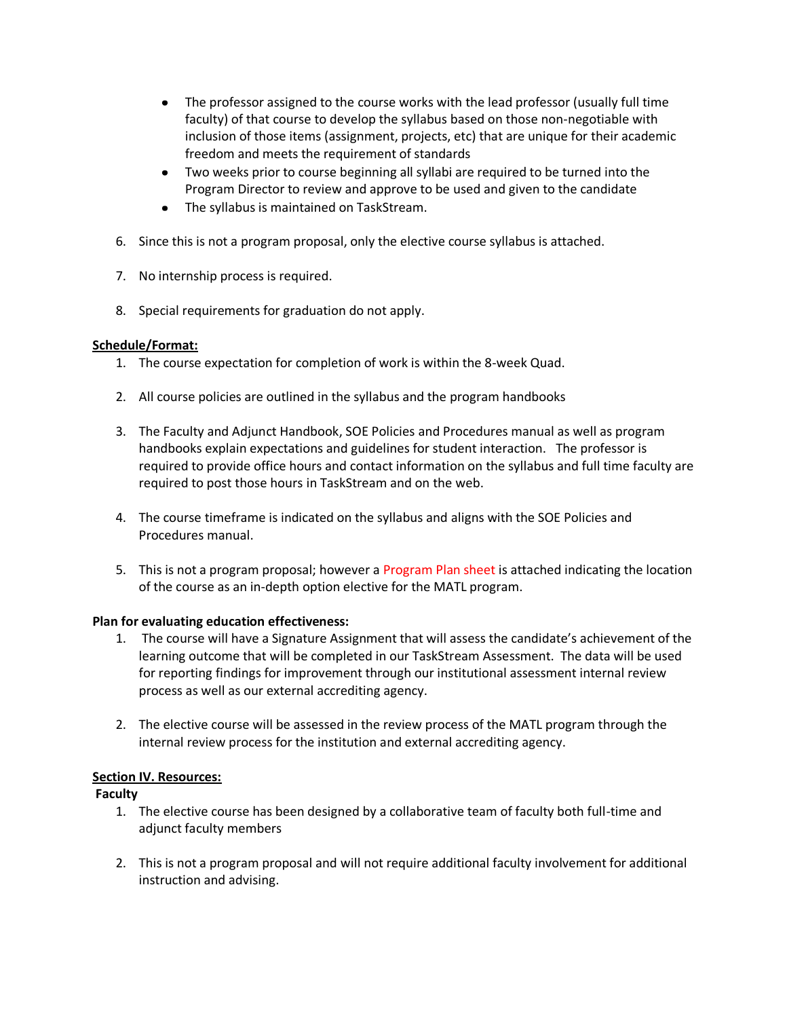- The professor assigned to the course works with the lead professor (usually full time faculty) of that course to develop the syllabus based on those non-negotiable with inclusion of those items (assignment, projects, etc) that are unique for their academic freedom and meets the requirement of standards
- Two weeks prior to course beginning all syllabi are required to be turned into the Program Director to review and approve to be used and given to the candidate
- The syllabus is maintained on TaskStream.
- 6. Since this is not a program proposal, only the elective course syllabus is attached.
- 7. No internship process is required.
- 8. Special requirements for graduation do not apply.

## **Schedule/Format:**

- 1. The course expectation for completion of work is within the 8-week Quad.
- 2. All course policies are outlined in the syllabus and the program handbooks
- 3. The Faculty and Adjunct Handbook, SOE Policies and Procedures manual as well as program handbooks explain expectations and guidelines for student interaction. The professor is required to provide office hours and contact information on the syllabus and full time faculty are required to post those hours in TaskStream and on the web.
- 4. The course timeframe is indicated on the syllabus and aligns with the SOE Policies and Procedures manual.
- 5. This is not a program proposal; however a Program Plan sheet is attached indicating the location of the course as an in-depth option elective for the MATL program.

## **Plan for evaluating education effectiveness:**

- 1. The course will have a Signature Assignment that will assess the candidate's achievement of the learning outcome that will be completed in our TaskStream Assessment. The data will be used for reporting findings for improvement through our institutional assessment internal review process as well as our external accrediting agency.
- 2. The elective course will be assessed in the review process of the MATL program through the internal review process for the institution and external accrediting agency.

# **Section IV. Resources:**

## **Faculty**

- 1. The elective course has been designed by a collaborative team of faculty both full-time and adjunct faculty members
- 2. This is not a program proposal and will not require additional faculty involvement for additional instruction and advising.